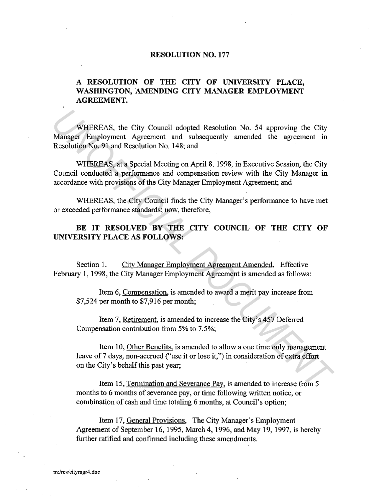## **RESOLUTION NO. 177**

## **A RESOLUTION OF THE CITY OF UNIVERSITY PLACE, WASHINGTON, AMENDING CITY MANAGER EMPLOYMENT AGREEMENT.**

WHEREAS, the City Council adopted Resolution No. 54 approving the City Manager Employment Agreement and subsequently amended the agreement in Resolution No. 91 and Resolution No. 148; and **WHEREAS, the City Council adopted Resolution No. 54 approving the City<br>
Manager Employment Agreement and subsequently amended the agreement in<br>
Resolution No. 91 and Resolution No. 148; and<br>
WHEREAS, at a Special Meeting** 

WHEREAS, at a Special Meeting on April 8, 1998, in Executive Session, the City Council conducted a performance and compensation review with the City Manager in accordance with provisions of the City Manager Employment Agreement; and

WHEREAS, the City Council finds the City Manager's performance to have met or exceeded performance standards; now, therefore,

## BE IT RESOLVED BY THE CITY COUNCIL OF THE CITY OF **UNIVERSITY PLACE AS FOLLOWS:**

Section 1. City Manager Employment Agreement Amended. Effective February 1, 1998, the City Manager Employment Agreement is amended as follows:

Item 6, Compensation, is amended to award a merit pay increase from \$7,524 per month to \$7,916 per month;

Item 7, Retirement, is amended to increase the City's 457 Deferred Compensation contribution from 5% to 7.5%;

Item 10, Other Benefits. is amended to allow a one time only management leave of 7 days, non-accrued ("use it or lose it,") in consideration of extra effort on the City's behalf this past year;

Item 15, Termination and Severance Pay, is amended to increase from 5 months to 6 months of severance pay, or time following written notice, or combination of cash and time totaling 6 months, at Council's option;

Item 17, General Provisions, The City Manager's Employment Agreement of September 16, 1995, March 4, 1996, and May 19, 1997, is hereby further ratified and confirmed including these amendments.

**m:/res/citymgr4.doc**